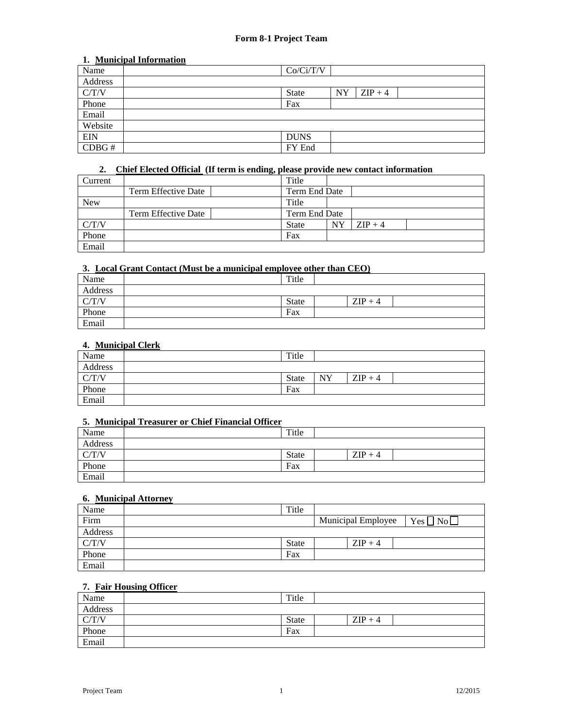### **1. Municipal Information**

| Name       | Co/Ci/T/V    |           |           |  |  |  |  |
|------------|--------------|-----------|-----------|--|--|--|--|
| Address    |              |           |           |  |  |  |  |
| C/T/V      | <b>State</b> | <b>NY</b> | $ZIP + 4$ |  |  |  |  |
| Phone      | Fax          |           |           |  |  |  |  |
| Email      |              |           |           |  |  |  |  |
| Website    |              |           |           |  |  |  |  |
| <b>EIN</b> | <b>DUNS</b>  |           |           |  |  |  |  |
| CDBG#      | FY End       |           |           |  |  |  |  |

## **2. Chief Elected Official (If term is ending, please provide new contact information**

| Current    |                     | Title         |           |           |  |
|------------|---------------------|---------------|-----------|-----------|--|
|            | Term Effective Date | Term End Date |           |           |  |
| <b>New</b> |                     | Title         |           |           |  |
|            | Term Effective Date | Term End Date |           |           |  |
| C/T/V      |                     | <b>State</b>  | <b>NY</b> | $ZIP + 4$ |  |
| Phone      |                     | Fax           |           |           |  |
| Email      |                     |               |           |           |  |

# **3. Local Grant Contact (Must be a municipal employee other than CEO)**

| Name    | Title |           |  |
|---------|-------|-----------|--|
| Address |       |           |  |
| C/T/V   | State | $ZIP + 4$ |  |
| Phone   | Fax   |           |  |
| Email   |       |           |  |

### **4. Municipal Clerk**

| Name    | Title        |           |           |  |
|---------|--------------|-----------|-----------|--|
| Address |              |           |           |  |
| C/T/V   | <b>State</b> | <b>NY</b> | $ZIP + 4$ |  |
| Phone   | Fax          |           |           |  |
| Email   |              |           |           |  |

## **5. Municipal Treasurer or Chief Financial Officer**

| Name    | Title        |           |  |
|---------|--------------|-----------|--|
| Address |              |           |  |
| C/T/V   | <b>State</b> | $ZIP + 4$ |  |
| Phone   | Fax          |           |  |
| Email   |              |           |  |

## **6. Municipal Attorney**

| Name    | Title        |                    |                    |
|---------|--------------|--------------------|--------------------|
| Firm    |              | Municipal Employee | $Yes \Box No \Box$ |
| Address |              |                    |                    |
| C/T/V   | <b>State</b> | $ZIP + 4$          |                    |
| Phone   | Fax          |                    |                    |
| Email   |              |                    |                    |

## **7. Fair Housing Officer**

| Name    | Title |           |  |
|---------|-------|-----------|--|
| Address |       |           |  |
| C/T/V   | State | $ZIP + 4$ |  |
| Phone   | Fax   |           |  |
| Email   |       |           |  |